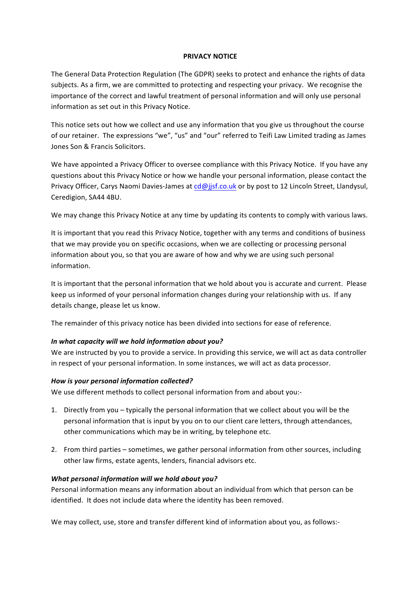#### **PRIVACY NOTICE**

The General Data Protection Regulation (The GDPR) seeks to protect and enhance the rights of data subjects. As a firm, we are committed to protecting and respecting your privacy. We recognise the importance of the correct and lawful treatment of personal information and will only use personal information as set out in this Privacy Notice.

This notice sets out how we collect and use any information that you give us throughout the course of our retainer. The expressions "we", "us" and "our" referred to Teifi Law Limited trading as James Jones Son & Francis Solicitors.

We have appointed a Privacy Officer to oversee compliance with this Privacy Notice. If you have any questions about this Privacy Notice or how we handle your personal information, please contact the Privacy Officer, Carys Naomi Davies-James at cd@jjsf.co.uk or by post to 12 Lincoln Street, Llandysul, Ceredigion, SA44 4BU.

We may change this Privacy Notice at any time by updating its contents to comply with various laws.

It is important that you read this Privacy Notice, together with any terms and conditions of business that we may provide you on specific occasions, when we are collecting or processing personal information about you, so that you are aware of how and why we are using such personal information. 

It is important that the personal information that we hold about you is accurate and current. Please keep us informed of your personal information changes during your relationship with us. If any details change, please let us know.

The remainder of this privacy notice has been divided into sections for ease of reference.

#### In what capacity will we hold information about you?

We are instructed by you to provide a service. In providing this service, we will act as data controller in respect of your personal information. In some instances, we will act as data processor.

#### How is your personal information collected?

We use different methods to collect personal information from and about you:-

- 1. Directly from you typically the personal information that we collect about you will be the personal information that is input by you on to our client care letters, through attendances, other communications which may be in writing, by telephone etc.
- 2. From third parties sometimes, we gather personal information from other sources, including other law firms, estate agents, lenders, financial advisors etc.

#### *What personal information will we hold about you?*

Personal information means any information about an individual from which that person can be identified. It does not include data where the identity has been removed.

We may collect, use, store and transfer different kind of information about you, as follows:-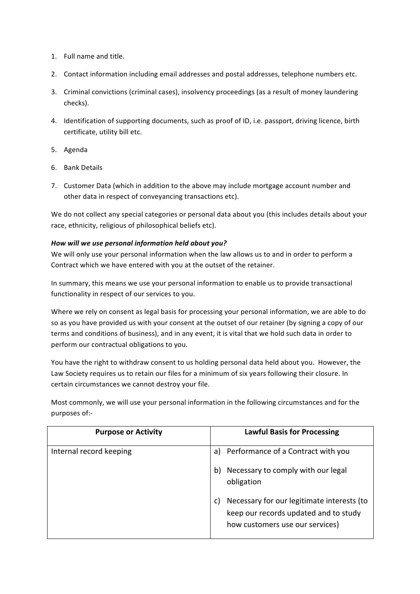- 1. Full name and title.
- 2. Contact information including email addresses and postal addresses, telephone numbers etc.
- 3. Criminal convictions (criminal cases), insolvency proceedings (as a result of money laundering checks).
- 4. Identification of supporting documents, such as proof of ID, i.e. passport, driving licence, birth certificate, utility bill etc.
- 5. Agenda
- 6. Bank Details
- 7. Customer Data (which in addition to the above may include mortgage account number and other data in respect of conveyancing transactions etc).

We do not collect any special categories or personal data about you (this includes details about your race, ethnicity, religious of philosophical beliefs etc).

# How will we use personal information held about you?

We will only use your personal information when the law allows us to and in order to perform a Contract which we have entered with you at the outset of the retainer.

In summary, this means we use your personal information to enable us to provide transactional functionality in respect of our services to you.

Where we rely on consent as legal basis for processing your personal information, we are able to do so as you have provided us with your consent at the outset of our retainer (by signing a copy of our terms and conditions of business), and in any event, it is vital that we hold such data in order to perform our contractual obligations to you.

You have the right to withdraw consent to us holding personal data held about you. However, the Law Society requires us to retain our files for a minimum of six years following their closure. In certain circumstances we cannot destroy your file.

Most commonly, we will use your personal information in the following circumstances and for the purposes of:-

| <b>Purpose or Activity</b> | <b>Lawful Basis for Processing</b>                                                                                     |
|----------------------------|------------------------------------------------------------------------------------------------------------------------|
| Internal record keeping    | Performance of a Contract with you<br>a)                                                                               |
|                            | Necessary to comply with our legal<br>b)<br>obligation                                                                 |
|                            | Necessary for our legitimate interests (to<br>keep our records updated and to study<br>how customers use our services) |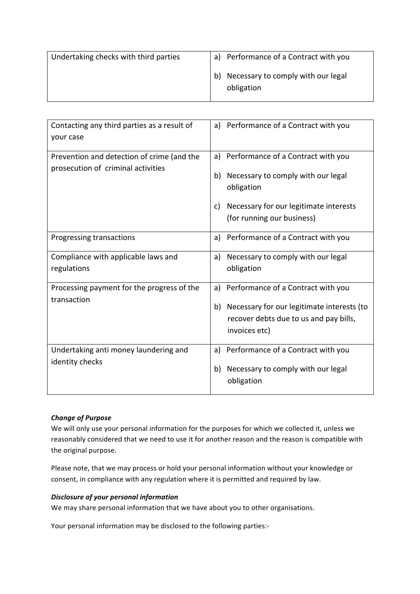| Undertaking checks with third parties | a) Performance of a Contract with you                  |
|---------------------------------------|--------------------------------------------------------|
|                                       | Necessary to comply with our legal<br>b)<br>obligation |

| Contacting any third parties as a result of | Performance of a Contract with you<br>a)         |
|---------------------------------------------|--------------------------------------------------|
| your case                                   |                                                  |
|                                             |                                                  |
| Prevention and detection of crime (and the  | Performance of a Contract with you<br>a)         |
| prosecution of criminal activities          | Necessary to comply with our legal<br>b)         |
|                                             | obligation                                       |
|                                             |                                                  |
|                                             | Necessary for our legitimate interests<br>C)     |
|                                             | (for running our business)                       |
| Progressing transactions                    | Performance of a Contract with you<br>a)         |
|                                             |                                                  |
| Compliance with applicable laws and         | Necessary to comply with our legal<br>a)         |
| regulations                                 | obligation                                       |
| Processing payment for the progress of the  | Performance of a Contract with you<br>a)         |
| transaction                                 | Necessary for our legitimate interests (to<br>b) |
|                                             | recover debts due to us and pay bills,           |
|                                             | invoices etc)                                    |
|                                             |                                                  |
| Undertaking anti money laundering and       | Performance of a Contract with you<br>a)         |
| identity checks                             |                                                  |
|                                             | Necessary to comply with our legal<br>b)         |
|                                             | obligation                                       |
|                                             |                                                  |

## *Change of Purpose*

We will only use your personal information for the purposes for which we collected it, unless we reasonably considered that we need to use it for another reason and the reason is compatible with the original purpose.

Please note, that we may process or hold your personal information without your knowledge or consent, in compliance with any regulation where it is permitted and required by law.

### *Disclosure of your personal information*

We may share personal information that we have about you to other organisations.

Your personal information may be disclosed to the following parties:-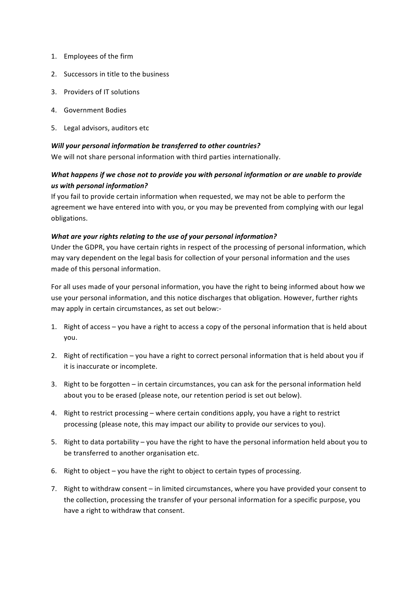- 1. Employees of the firm
- 2. Successors in title to the business
- 3. Providers of IT solutions
- 4. Government Bodies
- 5. Legal advisors, auditors etc.

#### *Will your personal information be transferred to other countries?*

We will not share personal information with third parties internationally.

# *What happens if we chose not to provide you with personal information or are unable to provide us with personal information?*

If you fail to provide certain information when requested, we may not be able to perform the agreement we have entered into with you, or you may be prevented from complying with our legal obligations.

## *What are your rights relating to the use of your personal information?*

Under the GDPR, you have certain rights in respect of the processing of personal information, which may vary dependent on the legal basis for collection of your personal information and the uses made of this personal information.

For all uses made of your personal information, you have the right to being informed about how we use your personal information, and this notice discharges that obligation. However, further rights may apply in certain circumstances, as set out below:-

- 1. Right of access you have a right to access a copy of the personal information that is held about you.
- 2. Right of rectification  $-$  you have a right to correct personal information that is held about you if it is inaccurate or incomplete.
- 3. Right to be forgotten in certain circumstances, you can ask for the personal information held about you to be erased (please note, our retention period is set out below).
- 4. Right to restrict processing where certain conditions apply, you have a right to restrict processing (please note, this may impact our ability to provide our services to you).
- 5. Right to data portability you have the right to have the personal information held about you to be transferred to another organisation etc.
- 6. Right to object  $-$  you have the right to object to certain types of processing.
- 7. Right to withdraw consent in limited circumstances, where you have provided your consent to the collection, processing the transfer of your personal information for a specific purpose, you have a right to withdraw that consent.